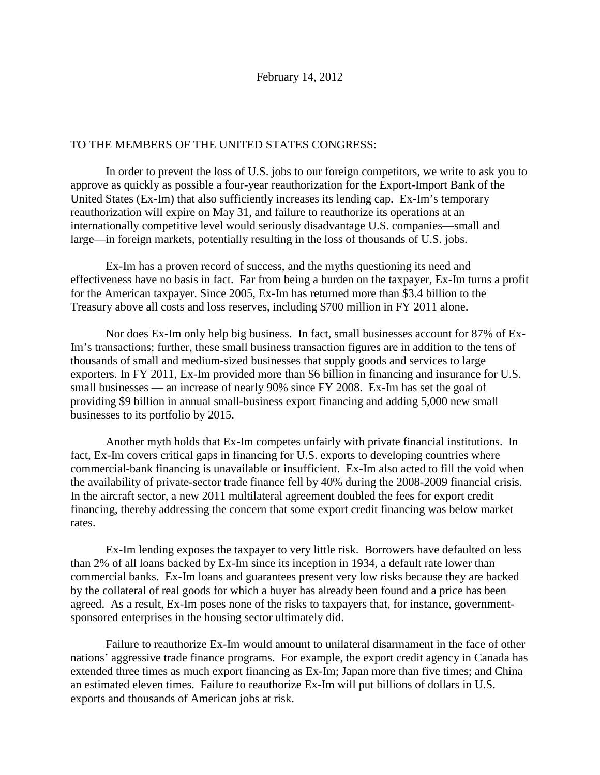## TO THE MEMBERS OF THE UNITED STATES CONGRESS:

In order to prevent the loss of U.S. jobs to our foreign competitors, we write to ask you to approve as quickly as possible a four-year reauthorization for the Export-Import Bank of the United States (Ex-Im) that also sufficiently increases its lending cap. Ex-Im's temporary reauthorization will expire on May 31, and failure to reauthorize its operations at an internationally competitive level would seriously disadvantage U.S. companies—small and large—in foreign markets, potentially resulting in the loss of thousands of U.S. jobs.

Ex-Im has a proven record of success, and the myths questioning its need and effectiveness have no basis in fact. Far from being a burden on the taxpayer, Ex-Im turns a profit for the American taxpayer. Since 2005, Ex-Im has returned more than \$3.4 billion to the Treasury above all costs and loss reserves, including \$700 million in FY 2011 alone.

Nor does Ex-Im only help big business. In fact, small businesses account for 87% of Ex-Im's transactions; further, these small business transaction figures are in addition to the tens of thousands of small and medium-sized businesses that supply goods and services to large exporters. In FY 2011, Ex-Im provided more than \$6 billion in financing and insurance for U.S. small businesses — an increase of nearly 90% since FY 2008. Ex-Im has set the goal of providing \$9 billion in annual small-business export financing and adding 5,000 new small businesses to its portfolio by 2015.

Another myth holds that Ex-Im competes unfairly with private financial institutions. In fact, Ex-Im covers critical gaps in financing for U.S. exports to developing countries where commercial-bank financing is unavailable or insufficient. Ex-Im also acted to fill the void when the availability of private-sector trade finance fell by 40% during the 2008-2009 financial crisis. In the aircraft sector, a new 2011 multilateral agreement doubled the fees for export credit financing, thereby addressing the concern that some export credit financing was below market rates.

Ex-Im lending exposes the taxpayer to very little risk. Borrowers have defaulted on less than 2% of all loans backed by Ex-Im since its inception in 1934, a default rate lower than commercial banks. Ex-Im loans and guarantees present very low risks because they are backed by the collateral of real goods for which a buyer has already been found and a price has been agreed. As a result, Ex-Im poses none of the risks to taxpayers that, for instance, governmentsponsored enterprises in the housing sector ultimately did.

Failure to reauthorize Ex-Im would amount to unilateral disarmament in the face of other nations' aggressive trade finance programs. For example, the export credit agency in Canada has extended three times as much export financing as Ex-Im; Japan more than five times; and China an estimated eleven times. Failure to reauthorize Ex-Im will put billions of dollars in U.S. exports and thousands of American jobs at risk.